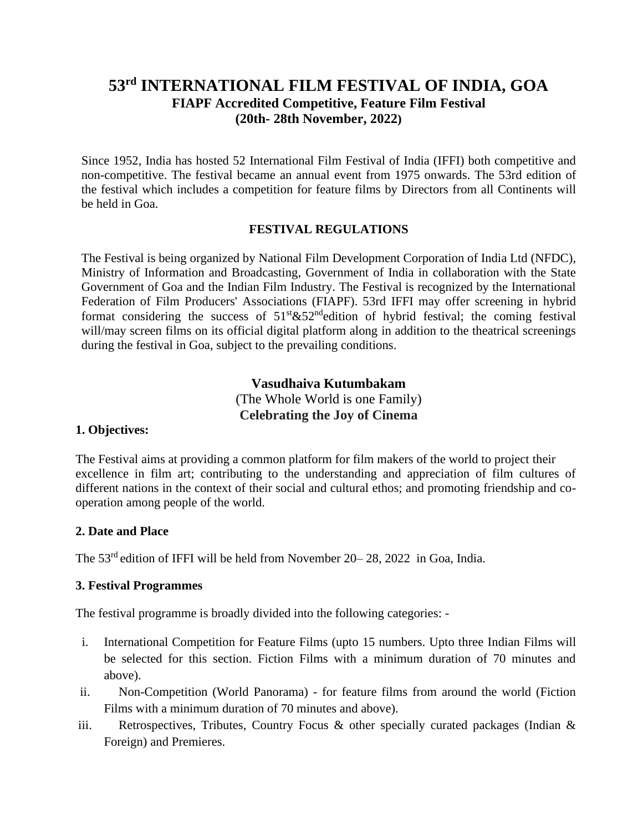# **53 rd INTERNATIONAL FILM FESTIVAL OF INDIA, GOA FIAPF Accredited Competitive, Feature Film Festival (20th- 28th November, 2022)**

Since 1952, India has hosted 52 International Film Festival of India (IFFI) both competitive and non-competitive. The festival became an annual event from 1975 onwards. The 53rd edition of the festival which includes a competition for feature films by Directors from all Continents will be held in Goa.

#### **FESTIVAL REGULATIONS**

The Festival is being organized by National Film Development Corporation of India Ltd (NFDC), Ministry of Information and Broadcasting, Government of India in collaboration with the State Government of Goa and the Indian Film Industry. The Festival is recognized by the International Federation of Film Producers' Associations (FIAPF). 53rd IFFI may offer screening in hybrid format considering the success of  $51<sup>st</sup>$ & $52<sup>nd</sup>$ edition of hybrid festival; the coming festival will/may screen films on its official digital platform along in addition to the theatrical screenings during the festival in Goa, subject to the prevailing conditions.

> **Vasudhaiva Kutumbakam** (The Whole World is one Family) **Celebrating the Joy of Cinema**

#### **1. Objectives:**

The Festival aims at providing a common platform for film makers of the world to project their excellence in film art; contributing to the understanding and appreciation of film cultures of different nations in the context of their social and cultural ethos; and promoting friendship and cooperation among people of the world.

#### **2. Date and Place**

The 53<sup>rd</sup> edition of IFFI will be held from November 20–28, 2022 in Goa, India.

### **3. Festival Programmes**

The festival programme is broadly divided into the following categories: -

- i. International Competition for Feature Films (upto 15 numbers. Upto three Indian Films will be selected for this section. Fiction Films with a minimum duration of 70 minutes and above).
- ii. Non-Competition (World Panorama) for feature films from around the world (Fiction Films with a minimum duration of 70 minutes and above).
- iii. Retrospectives, Tributes, Country Focus & other specially curated packages (Indian & Foreign) and Premieres.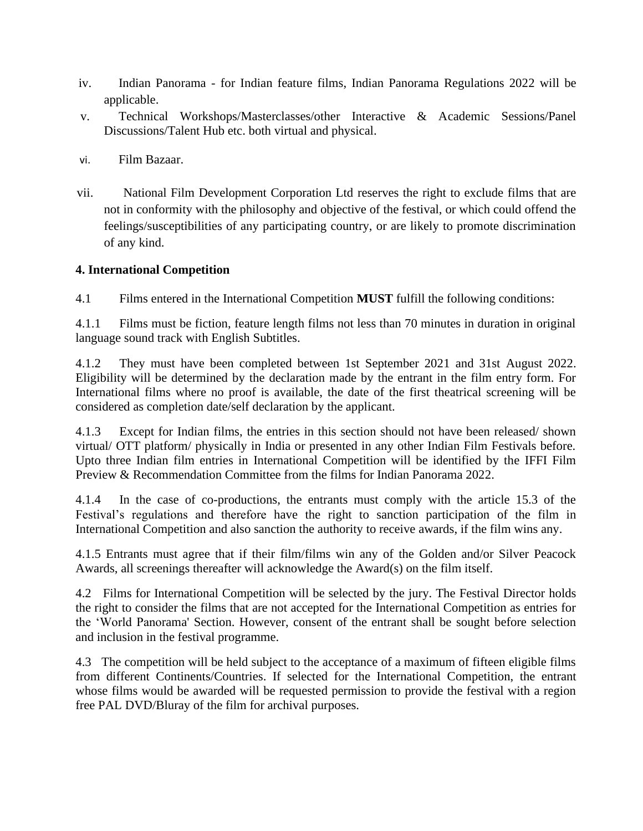- iv. Indian Panorama for Indian feature films, Indian Panorama Regulations 2022 will be applicable.
- v. Technical Workshops/Masterclasses/other Interactive & Academic Sessions/Panel Discussions/Talent Hub etc. both virtual and physical.
- vi. Film Bazaar.
- vii. National Film Development Corporation Ltd reserves the right to exclude films that are not in conformity with the philosophy and objective of the festival, or which could offend the feelings/susceptibilities of any participating country, or are likely to promote discrimination of any kind.

#### **4. International Competition**

4.1 Films entered in the International Competition **MUST** fulfill the following conditions:

4.1.1 Films must be fiction, feature length films not less than 70 minutes in duration in original language sound track with English Subtitles.

4.1.2 They must have been completed between 1st September 2021 and 31st August 2022. Eligibility will be determined by the declaration made by the entrant in the film entry form. For International films where no proof is available, the date of the first theatrical screening will be considered as completion date/self declaration by the applicant.

4.1.3 Except for Indian films, the entries in this section should not have been released/ shown virtual/ OTT platform/ physically in India or presented in any other Indian Film Festivals before. Upto three Indian film entries in International Competition will be identified by the IFFI Film Preview & Recommendation Committee from the films for Indian Panorama 2022.

4.1.4 In the case of co-productions, the entrants must comply with the article 15.3 of the Festival's regulations and therefore have the right to sanction participation of the film in International Competition and also sanction the authority to receive awards, if the film wins any.

4.1.5 Entrants must agree that if their film/films win any of the Golden and/or Silver Peacock Awards, all screenings thereafter will acknowledge the Award(s) on the film itself.

4.2 Films for International Competition will be selected by the jury. The Festival Director holds the right to consider the films that are not accepted for the International Competition as entries for the 'World Panorama' Section. However, consent of the entrant shall be sought before selection and inclusion in the festival programme.

4.3 The competition will be held subject to the acceptance of a maximum of fifteen eligible films from different Continents/Countries. If selected for the International Competition, the entrant whose films would be awarded will be requested permission to provide the festival with a region free PAL DVD/Bluray of the film for archival purposes.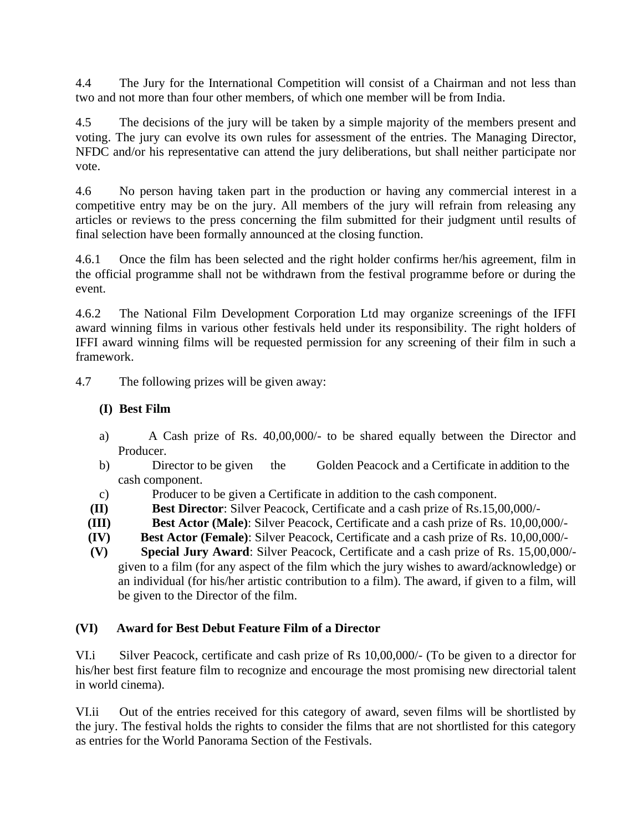4.4 The Jury for the International Competition will consist of a Chairman and not less than two and not more than four other members, of which one member will be from India.

4.5 The decisions of the jury will be taken by a simple majority of the members present and voting. The jury can evolve its own rules for assessment of the entries. The Managing Director, NFDC and/or his representative can attend the jury deliberations, but shall neither participate nor vote.

4.6 No person having taken part in the production or having any commercial interest in a competitive entry may be on the jury. All members of the jury will refrain from releasing any articles or reviews to the press concerning the film submitted for their judgment until results of final selection have been formally announced at the closing function.

4.6.1 Once the film has been selected and the right holder confirms her/his agreement, film in the official programme shall not be withdrawn from the festival programme before or during the event.

4.6.2 The National Film Development Corporation Ltd may organize screenings of the IFFI award winning films in various other festivals held under its responsibility. The right holders of IFFI award winning films will be requested permission for any screening of their film in such a framework.

4.7 The following prizes will be given away:

### **(I) Best Film**

- a) A Cash prize of Rs. 40,00,000/- to be shared equally between the Director and Producer.
- b) Director to be given the Golden Peacock and a Certificate in addition to the cash component.
- c) Producer to be given a Certificate in addition to the cash component.
- **(II) Best Director**: Silver Peacock, Certificate and a cash prize of Rs.15,00,000/-
- **(III) Best Actor (Male)**: Silver Peacock, Certificate and a cash prize of Rs. 10,00,000/-
- **(IV) Best Actor (Female)**: Silver Peacock, Certificate and a cash prize of Rs. 10,00,000/-
- **(V) Special Jury Award**: Silver Peacock, Certificate and a cash prize of Rs. 15,00,000/ given to a film (for any aspect of the film which the jury wishes to award/acknowledge) or an individual (for his/her artistic contribution to a film). The award, if given to a film, will be given to the Director of the film.

### **(VI) Award for Best Debut Feature Film of a Director**

VI.i Silver Peacock, certificate and cash prize of Rs 10,00,000/- (To be given to a director for his/her best first feature film to recognize and encourage the most promising new directorial talent in world cinema).

VI.ii Out of the entries received for this category of award, seven films will be shortlisted by the jury. The festival holds the rights to consider the films that are not shortlisted for this category as entries for the World Panorama Section of the Festivals.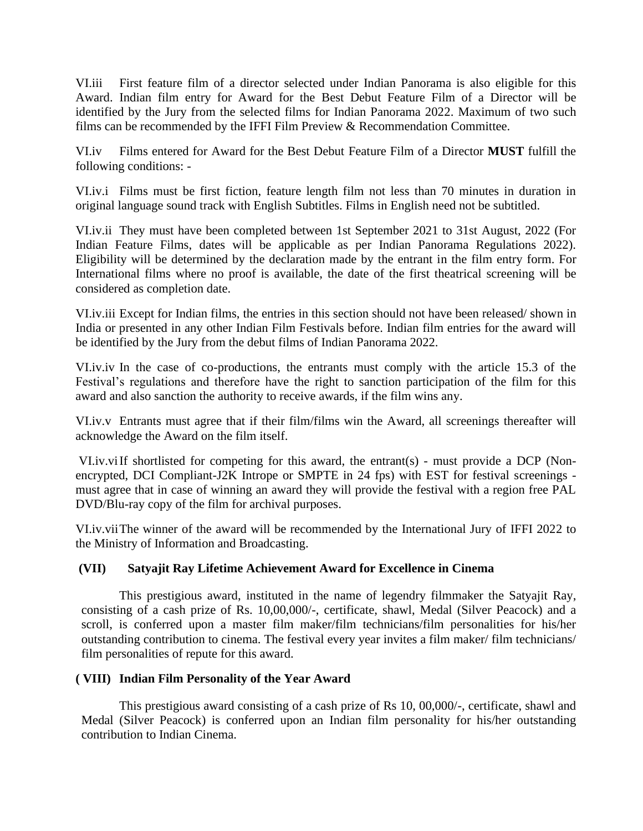VI.iii First feature film of a director selected under Indian Panorama is also eligible for this Award. Indian film entry for Award for the Best Debut Feature Film of a Director will be identified by the Jury from the selected films for Indian Panorama 2022. Maximum of two such films can be recommended by the IFFI Film Preview & Recommendation Committee.

VI.iv Films entered for Award for the Best Debut Feature Film of a Director **MUST** fulfill the following conditions: -

VI.iv.i Films must be first fiction, feature length film not less than 70 minutes in duration in original language sound track with English Subtitles. Films in English need not be subtitled.

VI.iv.ii They must have been completed between 1st September 2021 to 31st August, 2022 (For Indian Feature Films, dates will be applicable as per Indian Panorama Regulations 2022). Eligibility will be determined by the declaration made by the entrant in the film entry form. For International films where no proof is available, the date of the first theatrical screening will be considered as completion date.

VI.iv.iii Except for Indian films, the entries in this section should not have been released/ shown in India or presented in any other Indian Film Festivals before. Indian film entries for the award will be identified by the Jury from the debut films of Indian Panorama 2022.

VI.iv.iv In the case of co-productions, the entrants must comply with the article 15.3 of the Festival's regulations and therefore have the right to sanction participation of the film for this award and also sanction the authority to receive awards, if the film wins any.

VI.iv.v Entrants must agree that if their film/films win the Award, all screenings thereafter will acknowledge the Award on the film itself.

VI.iv.viIf shortlisted for competing for this award, the entrant(s) - must provide a DCP (Nonencrypted, DCI Compliant-J2K Intrope or SMPTE in 24 fps) with EST for festival screenings must agree that in case of winning an award they will provide the festival with a region free PAL DVD/Blu-ray copy of the film for archival purposes.

VI.iv.viiThe winner of the award will be recommended by the International Jury of IFFI 2022 to the Ministry of Information and Broadcasting.

### **(VII) Satyajit Ray Lifetime Achievement Award for Excellence in Cinema**

This prestigious award, instituted in the name of legendry filmmaker the Satyajit Ray, consisting of a cash prize of Rs. 10,00,000/-, certificate, shawl, Medal (Silver Peacock) and a scroll, is conferred upon a master film maker/film technicians/film personalities for his/her outstanding contribution to cinema. The festival every year invites a film maker/ film technicians/ film personalities of repute for this award.

### **( VIII) Indian Film Personality of the Year Award**

This prestigious award consisting of a cash prize of Rs 10, 00,000/-, certificate, shawl and Medal (Silver Peacock) is conferred upon an Indian film personality for his/her outstanding contribution to Indian Cinema.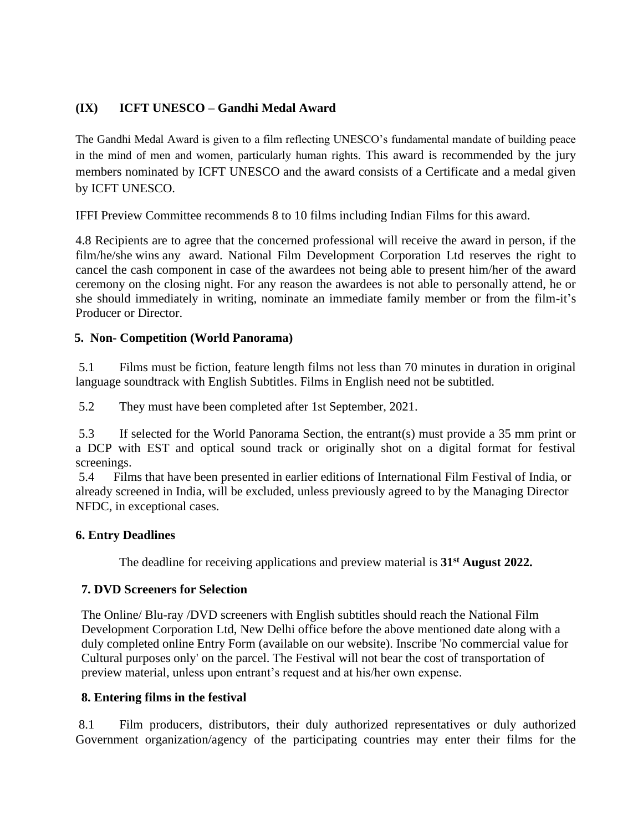## **(IX) ICFT UNESCO – Gandhi Medal Award**

The Gandhi Medal Award is given to a film reflecting UNESCO's fundamental mandate of building peace in the mind of men and women, particularly human rights. This award is recommended by the jury members nominated by ICFT UNESCO and the award consists of a Certificate and a medal given by ICFT UNESCO.

IFFI Preview Committee recommends 8 to 10 films including Indian Films for this award.

4.8 Recipients are to agree that the concerned professional will receive the award in person, if the film/he/she wins any award. National Film Development Corporation Ltd reserves the right to cancel the cash component in case of the awardees not being able to present him/her of the award ceremony on the closing night. For any reason the awardees is not able to personally attend, he or she should immediately in writing, nominate an immediate family member or from the film-it's Producer or Director.

#### **5. Non- Competition (World Panorama)**

5.1 Films must be fiction, feature length films not less than 70 minutes in duration in original language soundtrack with English Subtitles. Films in English need not be subtitled.

5.2 They must have been completed after 1st September, 2021.

5.3 If selected for the World Panorama Section, the entrant(s) must provide a 35 mm print or a DCP with EST and optical sound track or originally shot on a digital format for festival screenings.

5.4 Films that have been presented in earlier editions of International Film Festival of India, or already screened in India, will be excluded, unless previously agreed to by the Managing Director NFDC, in exceptional cases.

#### **6. Entry Deadlines**

The deadline for receiving applications and preview material is **31st August 2022.**

#### **7. DVD Screeners for Selection**

The Online/ Blu-ray /DVD screeners with English subtitles should reach the National Film Development Corporation Ltd, New Delhi office before the above mentioned date along with a duly completed online Entry Form (available on our website). Inscribe 'No commercial value for Cultural purposes only' on the parcel. The Festival will not bear the cost of transportation of preview material, unless upon entrant's request and at his/her own expense.

### **8. Entering films in the festival**

8.1 Film producers, distributors, their duly authorized representatives or duly authorized Government organization/agency of the participating countries may enter their films for the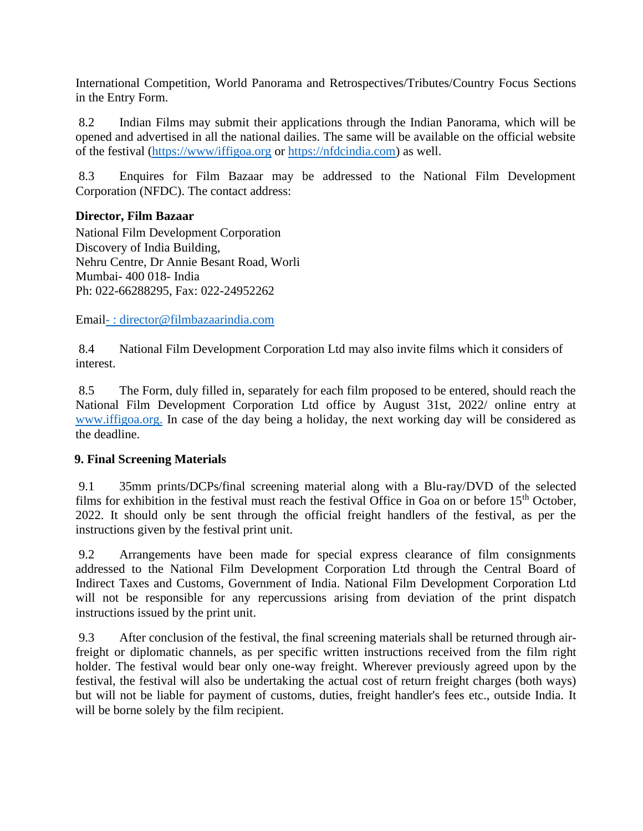International Competition, World Panorama and Retrospectives/Tributes/Country Focus Sections in the Entry Form.

8.2 Indian Films may submit their applications through the Indian Panorama, which will be opened and advertised in all the national dailies. The same will be available on the official website of the festival [\(https://www/iffigoa.org](https://www/iffigoa.org) or [https://nfdcindia.com\)](https://nfdcindia.com/) as well.

8.3 Enquires for Film Bazaar may be addressed to the National Film Development Corporation (NFDC). The contact address:

### **Director, Film Bazaar**

National Film Development Corporation Discovery of India Building, Nehru Centre, Dr Annie Besant Road, Worli Mumbai- 400 018- India Ph: 022-66288295, Fax: 022-24952262

Email- [: director@filmbazaarindia.com](mailto:-%20:%20director@filmbazaarindia.com)

8.4 National Film Development Corporation Ltd may also invite films which it considers of interest.

8.5 The Form, duly filled in, separately for each film proposed to be entered, should reach the National Film Development Corporation Ltd office by August 31st, 2022/ online entry at [www.iffigoa.org.](http://www.iffigoa.org./) In case of the day being a holiday, the next working day will be considered as the deadline.

### **9. Final Screening Materials**

9.1 35mm prints/DCPs/final screening material along with a Blu-ray/DVD of the selected films for exhibition in the festival must reach the festival Office in Goa on or before 15<sup>th</sup> October, 2022. It should only be sent through the official freight handlers of the festival, as per the instructions given by the festival print unit.

9.2 Arrangements have been made for special express clearance of film consignments addressed to the National Film Development Corporation Ltd through the Central Board of Indirect Taxes and Customs, Government of India. National Film Development Corporation Ltd will not be responsible for any repercussions arising from deviation of the print dispatch instructions issued by the print unit.

9.3 After conclusion of the festival, the final screening materials shall be returned through airfreight or diplomatic channels, as per specific written instructions received from the film right holder. The festival would bear only one-way freight. Wherever previously agreed upon by the festival, the festival will also be undertaking the actual cost of return freight charges (both ways) but will not be liable for payment of customs, duties, freight handler's fees etc., outside India. It will be borne solely by the film recipient.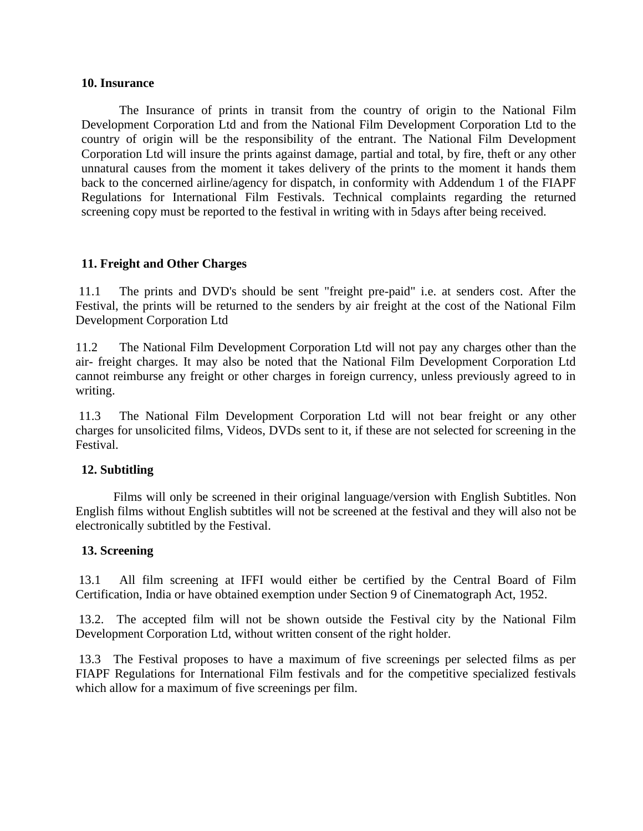#### **10. Insurance**

The Insurance of prints in transit from the country of origin to the National Film Development Corporation Ltd and from the National Film Development Corporation Ltd to the country of origin will be the responsibility of the entrant. The National Film Development Corporation Ltd will insure the prints against damage, partial and total, by fire, theft or any other unnatural causes from the moment it takes delivery of the prints to the moment it hands them back to the concerned airline/agency for dispatch, in conformity with Addendum 1 of the FIAPF Regulations for International Film Festivals. Technical complaints regarding the returned screening copy must be reported to the festival in writing with in 5days after being received.

#### **11. Freight and Other Charges**

11.1 The prints and DVD's should be sent "freight pre-paid" i.e. at senders cost. After the Festival, the prints will be returned to the senders by air freight at the cost of the National Film Development Corporation Ltd

11.2 The National Film Development Corporation Ltd will not pay any charges other than the air- freight charges. It may also be noted that the National Film Development Corporation Ltd cannot reimburse any freight or other charges in foreign currency, unless previously agreed to in writing.

11.3 The National Film Development Corporation Ltd will not bear freight or any other charges for unsolicited films, Videos, DVDs sent to it, if these are not selected for screening in the Festival.

#### **12. Subtitling**

Films will only be screened in their original language/version with English Subtitles. Non English films without English subtitles will not be screened at the festival and they will also not be electronically subtitled by the Festival.

#### **13. Screening**

13.1 All film screening at IFFI would either be certified by the Central Board of Film Certification, India or have obtained exemption under Section 9 of Cinematograph Act, 1952.

13.2. The accepted film will not be shown outside the Festival city by the National Film Development Corporation Ltd, without written consent of the right holder.

13.3 The Festival proposes to have a maximum of five screenings per selected films as per FIAPF Regulations for International Film festivals and for the competitive specialized festivals which allow for a maximum of five screenings per film.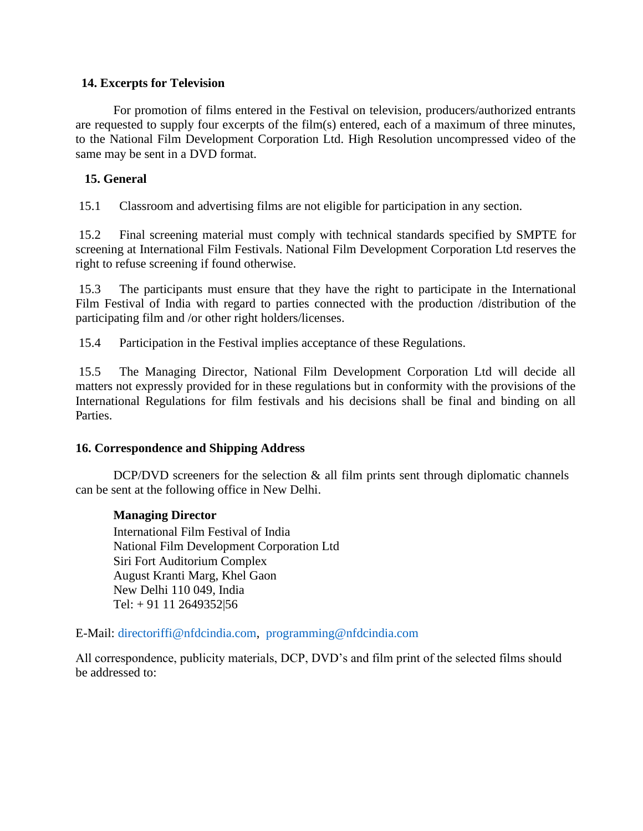#### **14. Excerpts for Television**

For promotion of films entered in the Festival on television, producers/authorized entrants are requested to supply four excerpts of the film(s) entered, each of a maximum of three minutes, to the National Film Development Corporation Ltd. High Resolution uncompressed video of the same may be sent in a DVD format.

### **15. General**

15.1 Classroom and advertising films are not eligible for participation in any section.

15.2 Final screening material must comply with technical standards specified by SMPTE for screening at International Film Festivals. National Film Development Corporation Ltd reserves the right to refuse screening if found otherwise.

15.3 The participants must ensure that they have the right to participate in the International Film Festival of India with regard to parties connected with the production /distribution of the participating film and /or other right holders/licenses.

15.4 Participation in the Festival implies acceptance of these Regulations.

15.5 The Managing Director, National Film Development Corporation Ltd will decide all matters not expressly provided for in these regulations but in conformity with the provisions of the International Regulations for film festivals and his decisions shall be final and binding on all Parties.

### **16. Correspondence and Shipping Address**

DCP/DVD screeners for the selection  $\&$  all film prints sent through diplomatic channels can be sent at the following office in New Delhi.

### **Managing Director**

International Film Festival of India National Film Development Corporation Ltd Siri Fort Auditorium Complex August Kranti Marg, Khel Gaon New Delhi 110 049, India Tel: + 91 11 2649352|56

E-Mail: [directoriffi@nfdcindia.com,](mailto:directoriffi@nfdcindia.com) [programming@nfdcindia.com](mailto:programming@nfdcindia.com)

All correspondence, publicity materials, DCP, DVD's and film print of the selected films should be addressed to: